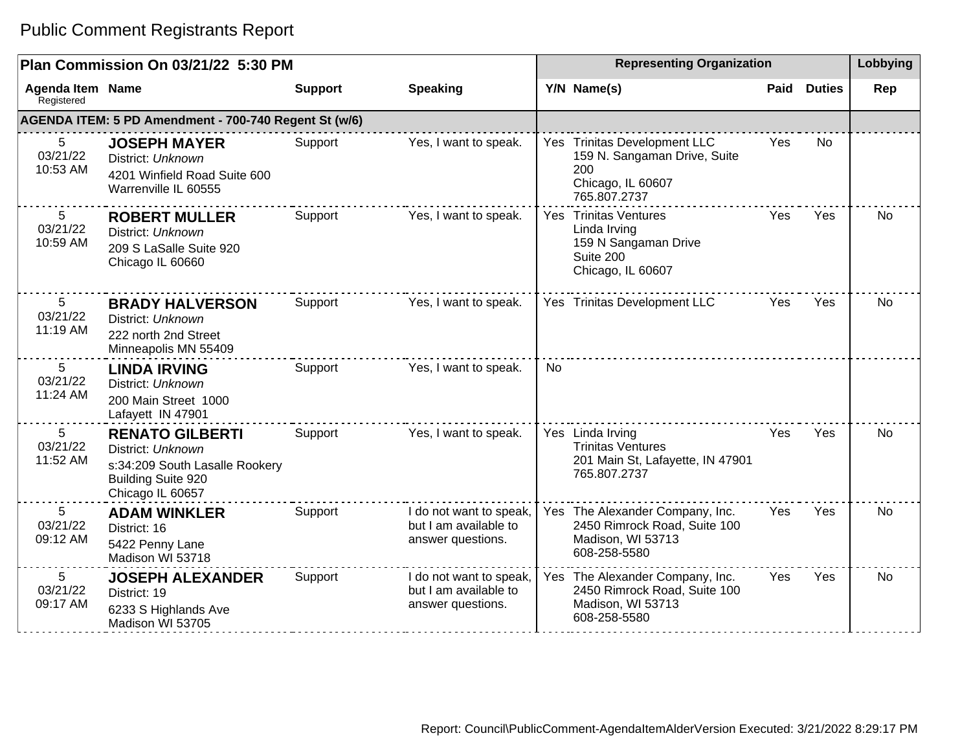|                                         | Plan Commission On 03/21/22 5:30 PM                                                                                     |                |                                                                       |           | <b>Representing Organization</b>                                                                         |      |               | Lobbying  |
|-----------------------------------------|-------------------------------------------------------------------------------------------------------------------------|----------------|-----------------------------------------------------------------------|-----------|----------------------------------------------------------------------------------------------------------|------|---------------|-----------|
| Agenda Item Name<br>Registered          |                                                                                                                         | <b>Support</b> | <b>Speaking</b>                                                       |           | Y/N Name(s)                                                                                              | Paid | <b>Duties</b> | Rep       |
|                                         | AGENDA ITEM: 5 PD Amendment - 700-740 Regent St (w/6)                                                                   |                |                                                                       |           |                                                                                                          |      |               |           |
| 5<br>03/21/22<br>10:53 AM               | <b>JOSEPH MAYER</b><br>District: Unknown<br>4201 Winfield Road Suite 600<br>Warrenville IL 60555                        | Support        | Yes, I want to speak.                                                 |           | Yes Trinitas Development LLC<br>159 N. Sangaman Drive, Suite<br>200<br>Chicago, IL 60607<br>765.807.2737 | Yes  | No.           |           |
| $5\overline{)}$<br>03/21/22<br>10:59 AM | <b>ROBERT MULLER</b><br>District: Unknown<br>209 S LaSalle Suite 920<br>Chicago IL 60660                                | Support        | Yes, I want to speak.                                                 |           | Yes Trinitas Ventures<br>Linda Irving<br>159 N Sangaman Drive<br>Suite 200<br>Chicago, IL 60607          | Yes  | Yes           | No        |
| $5\overline{)}$<br>03/21/22<br>11:19 AM | <b>BRADY HALVERSON</b><br>District: Unknown<br>222 north 2nd Street<br>Minneapolis MN 55409                             | Support        | Yes, I want to speak.                                                 |           | Yes Trinitas Development LLC                                                                             | Yes  | Yes           | No        |
| 5<br>03/21/22<br>11:24 AM               | <b>LINDA IRVING</b><br>District: Unknown<br>200 Main Street 1000<br>Lafayett IN 47901                                   | Support        | Yes, I want to speak.                                                 | <b>No</b> |                                                                                                          |      |               |           |
| $5\overline{)}$<br>03/21/22<br>11:52 AM | <b>RENATO GILBERTI</b><br>District: Unknown<br>s:34:209 South Lasalle Rookery<br>Building Suite 920<br>Chicago IL 60657 | Support        | Yes, I want to speak.                                                 |           | Yes Linda Irving<br><b>Trinitas Ventures</b><br>201 Main St, Lafayette, IN 47901<br>765.807.2737         | Yes  | Yes           | No        |
| 5<br>03/21/22<br>09:12 AM               | <b>ADAM WINKLER</b><br>District: 16<br>5422 Penny Lane<br>Madison WI 53718                                              | Support        | I do not want to speak,<br>but I am available to<br>answer questions. |           | Yes The Alexander Company, Inc.<br>2450 Rimrock Road, Suite 100<br>Madison, WI 53713<br>608-258-5580     | Yes  | Yes           | <b>No</b> |
| 5<br>03/21/22<br>09:17 AM               | <b>JOSEPH ALEXANDER</b><br>District: 19<br>6233 S Highlands Ave<br>Madison WI 53705                                     | Support        | I do not want to speak,<br>but I am available to<br>answer questions. |           | Yes The Alexander Company, Inc.<br>2450 Rimrock Road, Suite 100<br>Madison, WI 53713<br>608-258-5580     | Yes  | Yes           | No        |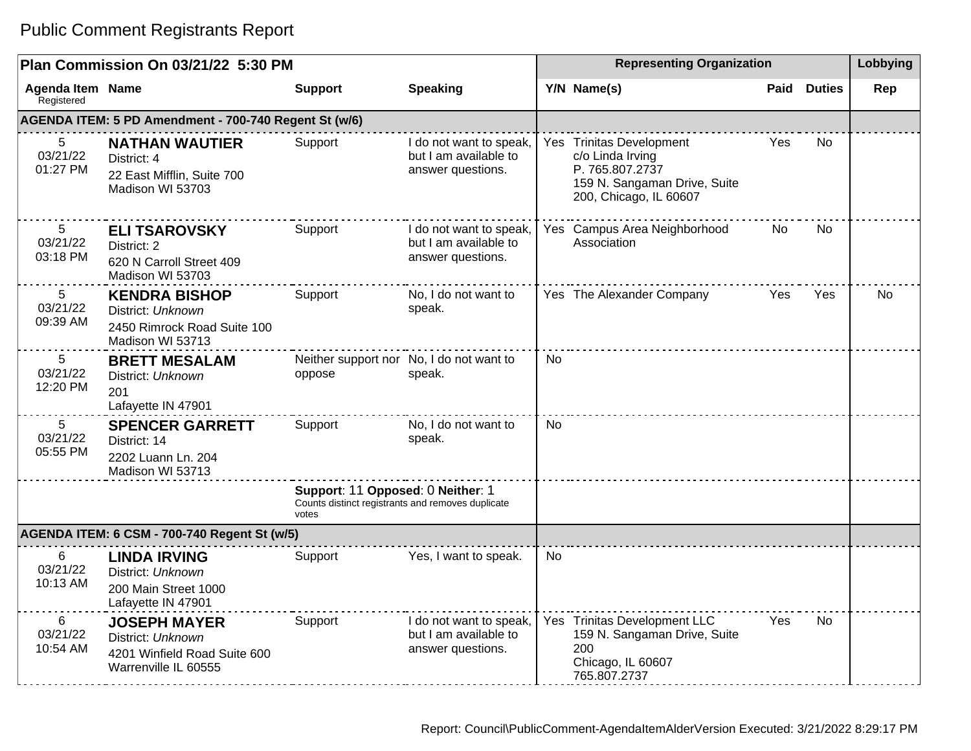|                                         | Plan Commission On 03/21/22 5:30 PM                                                              |                                                                                                 |                                                                       |    | <b>Representing Organization</b>                                                                                          |            |                    | Lobbying  |
|-----------------------------------------|--------------------------------------------------------------------------------------------------|-------------------------------------------------------------------------------------------------|-----------------------------------------------------------------------|----|---------------------------------------------------------------------------------------------------------------------------|------------|--------------------|-----------|
| <b>Agenda Item Name</b><br>Registered   |                                                                                                  | <b>Support</b>                                                                                  | <b>Speaking</b>                                                       |    | Y/N Name(s)                                                                                                               |            | <b>Paid Duties</b> | Rep       |
|                                         | AGENDA ITEM: 5 PD Amendment - 700-740 Regent St (w/6)                                            |                                                                                                 |                                                                       |    |                                                                                                                           |            |                    |           |
| 5<br>03/21/22<br>01:27 PM               | <b>NATHAN WAUTIER</b><br>District: 4<br>22 East Mifflin, Suite 700<br>Madison WI 53703           | Support                                                                                         | I do not want to speak,<br>but I am available to<br>answer questions. |    | Yes Trinitas Development<br>c/o Linda Irving<br>P. 765.807.2737<br>159 N. Sangaman Drive, Suite<br>200, Chicago, IL 60607 | Yes        | No.                |           |
| $5\phantom{.0}$<br>03/21/22<br>03:18 PM | <b>ELI TSAROVSKY</b><br>District: 2<br>620 N Carroll Street 409<br>Madison WI 53703              | Support                                                                                         | I do not want to speak,<br>but I am available to<br>answer questions. |    | Yes Campus Area Neighborhood<br>Association                                                                               | No         | No.                |           |
| 5<br>03/21/22<br>09:39 AM               | <b>KENDRA BISHOP</b><br>District: Unknown<br>2450 Rimrock Road Suite 100<br>Madison WI 53713     | Support                                                                                         | No, I do not want to<br>speak.                                        |    | Yes The Alexander Company                                                                                                 | <b>Yes</b> | Yes                | <b>No</b> |
| 5<br>03/21/22<br>12:20 PM               | <b>BRETT MESALAM</b><br>District: Unknown<br>201<br>Lafayette IN 47901                           | oppose                                                                                          | Neither support nor No, I do not want to<br>speak.                    | No |                                                                                                                           |            |                    |           |
| 5<br>03/21/22<br>05:55 PM               | <b>SPENCER GARRETT</b><br>District: 14<br>2202 Luann Ln. 204<br>Madison WI 53713                 | Support                                                                                         | No, I do not want to<br>speak.                                        | No |                                                                                                                           |            |                    |           |
|                                         |                                                                                                  | Support: 11 Opposed: 0 Neither: 1<br>Counts distinct registrants and removes duplicate<br>votes |                                                                       |    |                                                                                                                           |            |                    |           |
|                                         | <b>AGENDA ITEM: 6 CSM - 700-740 Regent St (w/5)</b>                                              |                                                                                                 |                                                                       |    |                                                                                                                           |            |                    |           |
| 6<br>03/21/22<br>10:13 AM               | <b>LINDA IRVING</b><br>District: Unknown<br>200 Main Street 1000<br>Lafayette IN 47901           | Support                                                                                         | Yes, I want to speak.                                                 | No |                                                                                                                           |            |                    |           |
| 6<br>03/21/22<br>10:54 AM               | <b>JOSEPH MAYER</b><br>District: Unknown<br>4201 Winfield Road Suite 600<br>Warrenville IL 60555 | Support                                                                                         | I do not want to speak,<br>but I am available to<br>answer questions. |    | Yes Trinitas Development LLC<br>159 N. Sangaman Drive, Suite<br>200<br>Chicago, IL 60607<br>765.807.2737                  | Yes        | No                 |           |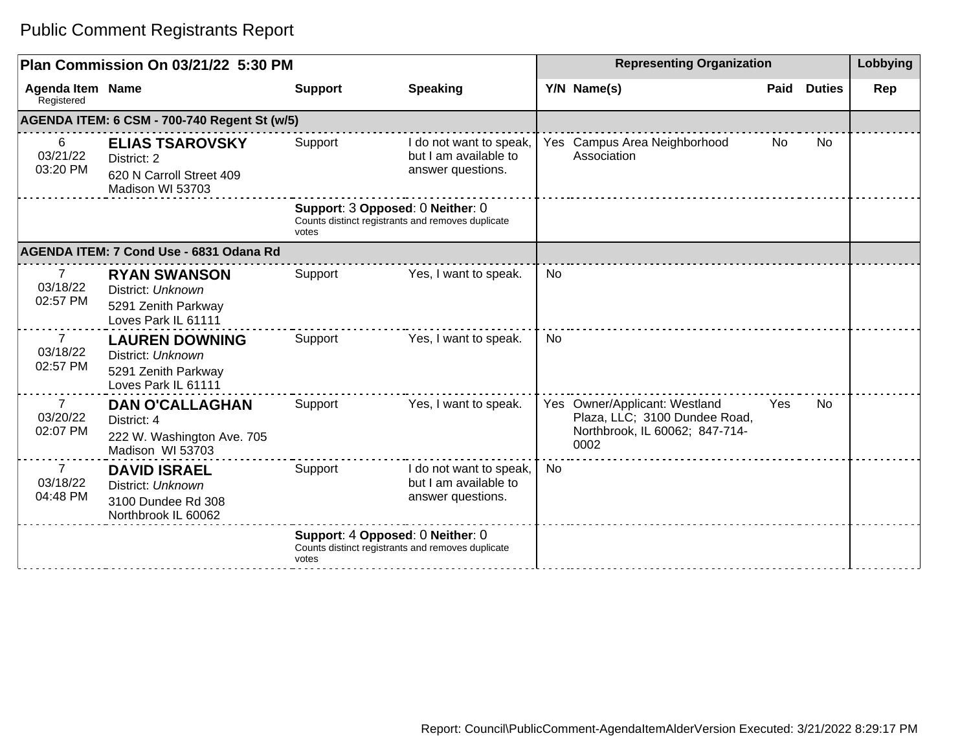|                                        | Plan Commission On 03/21/22 5:30 PM                                                      |                                                                                                |                                                                       |           | <b>Representing Organization</b>                                                                         |      |               | Lobbying |
|----------------------------------------|------------------------------------------------------------------------------------------|------------------------------------------------------------------------------------------------|-----------------------------------------------------------------------|-----------|----------------------------------------------------------------------------------------------------------|------|---------------|----------|
| <b>Agenda Item Name</b><br>Registered  |                                                                                          | <b>Support</b>                                                                                 | <b>Speaking</b>                                                       |           | Y/N Name(s)                                                                                              | Paid | <b>Duties</b> | Rep      |
|                                        | AGENDA ITEM: 6 CSM - 700-740 Regent St (w/5)                                             |                                                                                                |                                                                       |           |                                                                                                          |      |               |          |
| 6<br>03/21/22<br>03:20 PM              | <b>ELIAS TSAROVSKY</b><br>District: 2<br>620 N Carroll Street 409<br>Madison WI 53703    | Support                                                                                        | I do not want to speak,<br>but I am available to<br>answer questions. |           | Yes Campus Area Neighborhood<br>Association                                                              | No   | <b>No</b>     |          |
|                                        |                                                                                          | Support: 3 Opposed: 0 Neither: 0<br>Counts distinct registrants and removes duplicate<br>votes |                                                                       |           |                                                                                                          |      |               |          |
|                                        | AGENDA ITEM: 7 Cond Use - 6831 Odana Rd                                                  |                                                                                                |                                                                       |           |                                                                                                          |      |               |          |
| 7<br>03/18/22<br>02:57 PM              | <b>RYAN SWANSON</b><br>District: Unknown<br>5291 Zenith Parkway<br>Loves Park IL 61111   | Support                                                                                        | Yes, I want to speak.                                                 | <b>No</b> |                                                                                                          |      |               |          |
| $\overline{7}$<br>03/18/22<br>02:57 PM | <b>LAUREN DOWNING</b><br>District: Unknown<br>5291 Zenith Parkway<br>Loves Park IL 61111 | Support                                                                                        | Yes, I want to speak.                                                 | No        |                                                                                                          |      |               |          |
| $\overline{7}$<br>03/20/22<br>02:07 PM | <b>DAN O'CALLAGHAN</b><br>District: 4<br>222 W. Washington Ave. 705<br>Madison WI 53703  | Support                                                                                        | Yes, I want to speak.                                                 |           | Yes Owner/Applicant: Westland<br>Plaza, LLC; 3100 Dundee Road,<br>Northbrook, IL 60062; 847-714-<br>0002 | Yes  | <b>No</b>     |          |
| $\overline{7}$<br>03/18/22<br>04:48 PM | <b>DAVID ISRAEL</b><br>District: Unknown<br>3100 Dundee Rd 308<br>Northbrook IL 60062    | Support                                                                                        | I do not want to speak,<br>but I am available to<br>answer questions. | No        |                                                                                                          |      |               |          |
|                                        |                                                                                          | Support: 4 Opposed: 0 Neither: 0<br>Counts distinct registrants and removes duplicate<br>votes |                                                                       |           |                                                                                                          |      |               |          |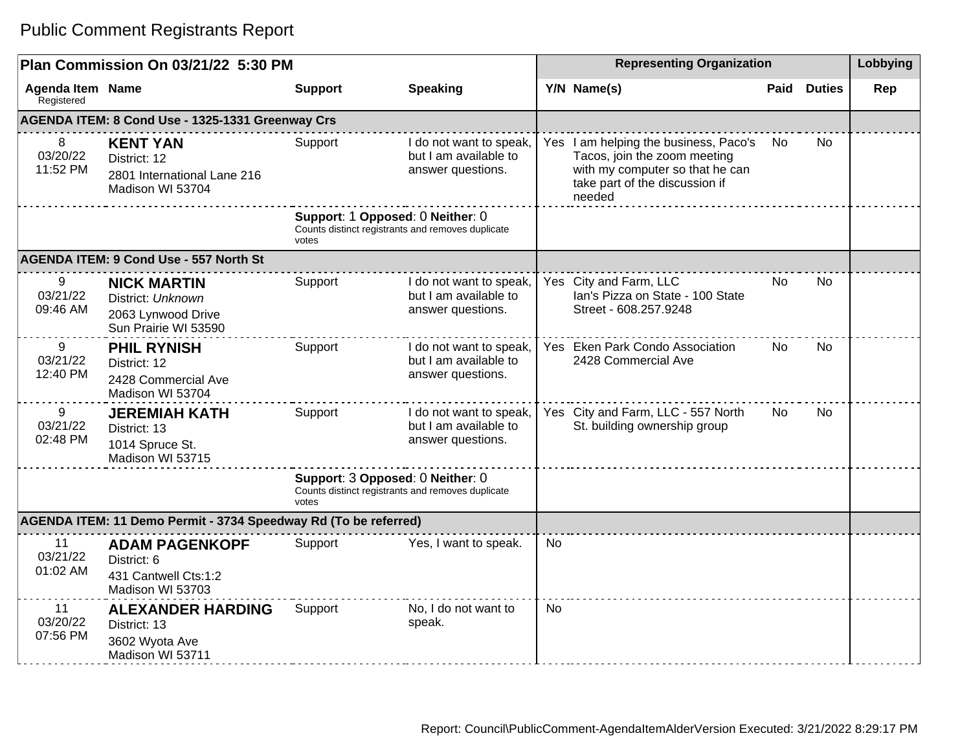|                                       | Plan Commission On 03/21/22 5:30 PM                                                   |                |                                                                                       |           | <b>Representing Organization</b>                                                                                                                     |      |               | Lobbying |
|---------------------------------------|---------------------------------------------------------------------------------------|----------------|---------------------------------------------------------------------------------------|-----------|------------------------------------------------------------------------------------------------------------------------------------------------------|------|---------------|----------|
| <b>Agenda Item Name</b><br>Registered |                                                                                       | <b>Support</b> | <b>Speaking</b>                                                                       |           | Y/N Name(s)                                                                                                                                          | Paid | <b>Duties</b> | Rep      |
|                                       | AGENDA ITEM: 8 Cond Use - 1325-1331 Greenway Crs                                      |                |                                                                                       |           |                                                                                                                                                      |      |               |          |
| 8<br>03/20/22<br>11:52 PM             | <b>KENT YAN</b><br>District: 12<br>2801 International Lane 216<br>Madison WI 53704    | Support        | I do not want to speak,<br>but I am available to<br>answer questions.                 |           | Yes I am helping the business, Paco's<br>Tacos, join the zoom meeting<br>with my computer so that he can<br>take part of the discussion if<br>needed | No.  | <b>No</b>     |          |
|                                       |                                                                                       | votes          | Support: 1 Opposed: 0 Neither: 0<br>Counts distinct registrants and removes duplicate |           |                                                                                                                                                      |      |               |          |
|                                       | <b>AGENDA ITEM: 9 Cond Use - 557 North St</b>                                         |                |                                                                                       |           |                                                                                                                                                      |      |               |          |
| 9<br>03/21/22<br>09:46 AM             | <b>NICK MARTIN</b><br>District: Unknown<br>2063 Lynwood Drive<br>Sun Prairie WI 53590 | Support        | I do not want to speak,<br>but I am available to<br>answer questions.                 |           | Yes City and Farm, LLC<br>Ian's Pizza on State - 100 State<br>Street - 608.257.9248                                                                  | No.  | <b>No</b>     |          |
| 9<br>03/21/22<br>12:40 PM             | <b>PHIL RYNISH</b><br>District: 12<br>2428 Commercial Ave<br>Madison WI 53704         | Support        | I do not want to speak,<br>but I am available to<br>answer questions.                 |           | Yes Eken Park Condo Association<br>2428 Commercial Ave                                                                                               | No.  | <b>No</b>     |          |
| 9<br>03/21/22<br>02:48 PM             | <b>JEREMIAH KATH</b><br>District: 13<br>1014 Spruce St.<br>Madison WI 53715           | Support        | I do not want to speak,<br>but I am available to<br>answer questions.                 |           | Yes City and Farm, LLC - 557 North<br>St. building ownership group                                                                                   | No.  | No.           |          |
|                                       |                                                                                       | votes          | Support: 3 Opposed: 0 Neither: 0<br>Counts distinct registrants and removes duplicate |           |                                                                                                                                                      |      |               |          |
|                                       | AGENDA ITEM: 11 Demo Permit - 3734 Speedway Rd (To be referred)                       |                |                                                                                       |           |                                                                                                                                                      |      |               |          |
| 11<br>03/21/22<br>01:02 AM            | <b>ADAM PAGENKOPF</b><br>District: 6<br>431 Cantwell Cts:1:2<br>Madison WI 53703      | Support        | Yes, I want to speak.                                                                 | No.       |                                                                                                                                                      |      |               |          |
| 11<br>03/20/22<br>07:56 PM            | <b>ALEXANDER HARDING</b><br>District: 13<br>3602 Wyota Ave<br>Madison WI 53711        | Support        | No, I do not want to<br>speak.                                                        | <b>No</b> |                                                                                                                                                      |      |               |          |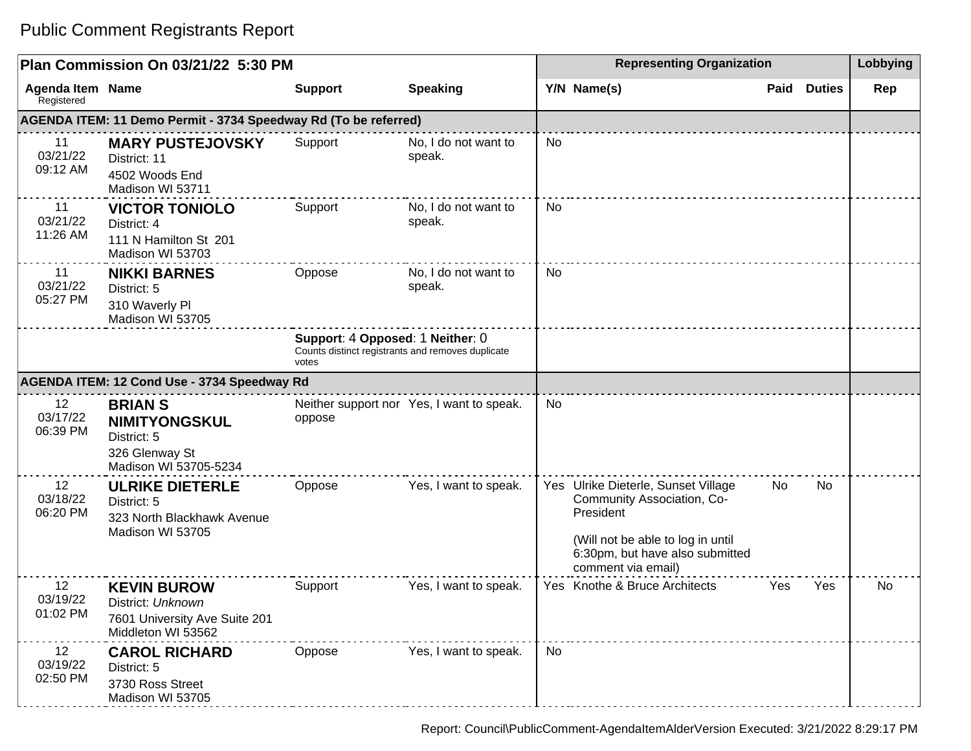#### **Plan Commission On 03/21/22 5:30 PM Representing Organization Lobbying Agenda Item** Registered **Name Support Speaking Y/N Name(s) Paid Duties Rep AGENDA ITEM: 11 Demo Permit - 3734 Speedway Rd (To be referred)** 11 03/21/22 09:12 AM **MARY PUSTEJOVSKY** District: 11 4502 Woods End Madison WI 53711 Support No, I do not want to speak. No 11 03/21/22 11:26 AM **VICTOR TONIOLO** District: 4 111 N Hamilton St 201 Madison WI 53703 Support No, I do not want to speak. No 11 03/21/22 05:27 PM **NIKKI BARNES** District: 5 310 Waverly Pl Madison WI 53705 Oppose No, I do not want to speak. No **Support**: 4 **Opposed**: 1 **Neither**: 0 Counts distinct registrants and removes duplicate votes **AGENDA ITEM: 12 Cond Use - 3734 Speedway Rd** 12 03/17/22 06:39 PM **BRIAN S NIMITYONGSKUL** District: 5 326 Glenway St Madison WI 53705-5234 Neither support nor Yes, I want to speak. | No oppose 12 03/18/22 06:20 PM **ULRIKE DIETERLE** District: 5 323 North Blackhawk Avenue Madison WI 53705 Oppose Yes, I want to speak. Yes Ulrike Dieterle, Sunset Village Community Association, Co-President (Will not be able to log in until 6:30pm, but have also submitted comment via email) No No 12 03/19/22 01:02 PM **KEVIN BUROW** District: Unknown 7601 University Ave Suite 201 Middleton WI 53562 Support Yes, I want to speak. | Yes Knothe & Bruce Architects Yes Yes | No 12 03/19/22 02:50 PM **CAROL RICHARD** District: 5 3730 Ross Street Madison WI 53705 Oppose Yes, I want to speak. No

#### Public Comment Registrants Report

Report: Council\PublicComment-AgendaItemAlderVersion Executed: 3/21/2022 8:29:17 PM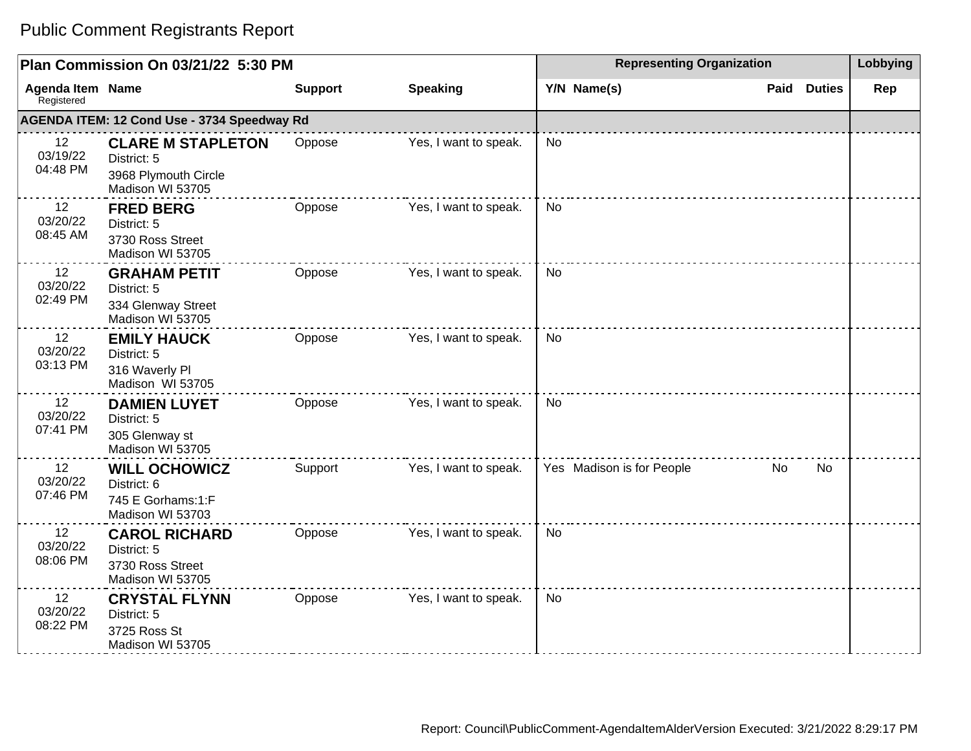|                                       | Plan Commission On 03/21/22 5:30 PM                                                 |                |                       | <b>Representing Organization</b> |                       | Lobbying |
|---------------------------------------|-------------------------------------------------------------------------------------|----------------|-----------------------|----------------------------------|-----------------------|----------|
| <b>Agenda Item Name</b><br>Registered |                                                                                     | <b>Support</b> | <b>Speaking</b>       | Y/N Name(s)                      | Paid<br><b>Duties</b> | Rep      |
|                                       | AGENDA ITEM: 12 Cond Use - 3734 Speedway Rd                                         |                |                       |                                  |                       |          |
| 12<br>03/19/22<br>04:48 PM            | <b>CLARE M STAPLETON</b><br>District: 5<br>3968 Plymouth Circle<br>Madison WI 53705 | Oppose         | Yes, I want to speak. | <b>No</b>                        |                       |          |
| 12<br>03/20/22<br>08:45 AM            | <b>FRED BERG</b><br>District: 5<br>3730 Ross Street<br>Madison WI 53705             | Oppose         | Yes, I want to speak. | <b>No</b>                        |                       |          |
| 12<br>03/20/22<br>02:49 PM            | <b>GRAHAM PETIT</b><br>District: 5<br>334 Glenway Street<br>Madison WI 53705        | Oppose         | Yes, I want to speak. | <b>No</b>                        |                       |          |
| 12<br>03/20/22<br>03:13 PM            | <b>EMILY HAUCK</b><br>District: 5<br>316 Waverly Pl<br>Madison WI 53705             | Oppose         | Yes, I want to speak. | <b>No</b>                        |                       |          |
| 12<br>03/20/22<br>07:41 PM            | <b>DAMIEN LUYET</b><br>District: 5<br>305 Glenway st<br>Madison WI 53705            | Oppose         | Yes, I want to speak. | <b>No</b>                        |                       |          |
| 12<br>03/20/22<br>07:46 PM            | <b>WILL OCHOWICZ</b><br>District: 6<br>745 E Gorhams:1:F<br>Madison WI 53703        | Support        | Yes, I want to speak. | Yes Madison is for People        | No<br>No.             |          |
| 12<br>03/20/22<br>08:06 PM            | <b>CAROL RICHARD</b><br>District: 5<br>3730 Ross Street<br>Madison WI 53705         | Oppose         | Yes, I want to speak. | <b>No</b>                        |                       |          |
| 12<br>03/20/22<br>08:22 PM            | <b>CRYSTAL FLYNN</b><br>District: 5<br>3725 Ross St<br>Madison WI 53705             | Oppose         | Yes, I want to speak. | <b>No</b>                        |                       |          |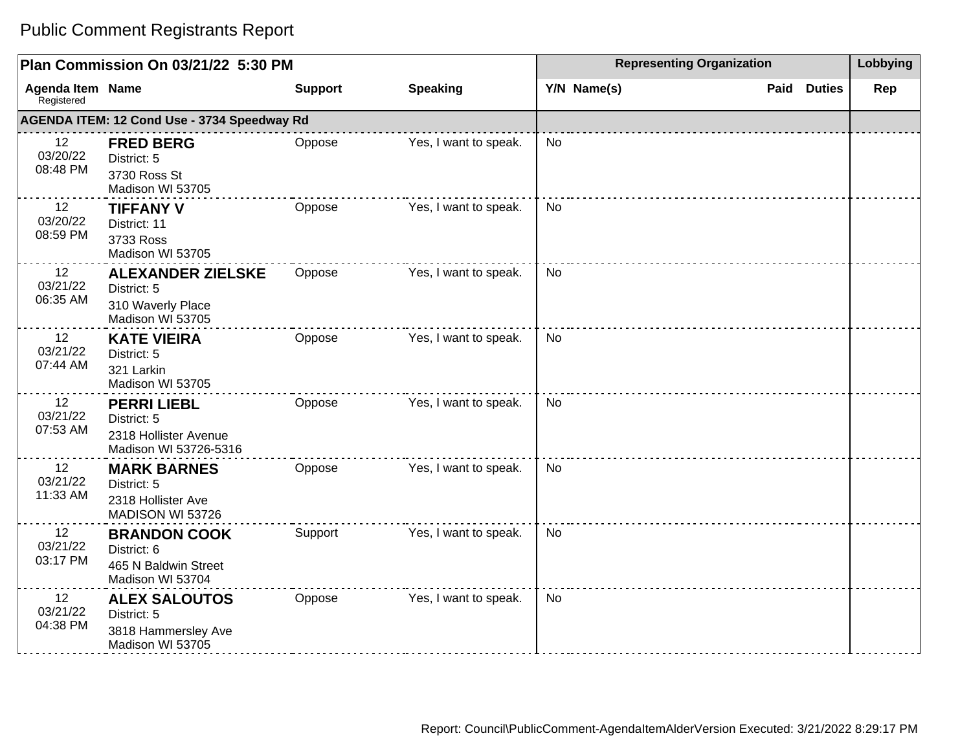|                                | Plan Commission On 03/21/22 5:30 PM                                                 |                |                       | <b>Representing Organization</b> | Lobbying              |     |
|--------------------------------|-------------------------------------------------------------------------------------|----------------|-----------------------|----------------------------------|-----------------------|-----|
| Agenda Item Name<br>Registered |                                                                                     | <b>Support</b> | <b>Speaking</b>       | Y/N Name(s)                      | <b>Duties</b><br>Paid | Rep |
|                                | AGENDA ITEM: 12 Cond Use - 3734 Speedway Rd                                         |                |                       |                                  |                       |     |
| 12<br>03/20/22<br>08:48 PM     | <b>FRED BERG</b><br>District: 5<br>3730 Ross St<br>Madison WI 53705                 | Oppose         | Yes, I want to speak. | <b>No</b>                        |                       |     |
| 12<br>03/20/22<br>08:59 PM     | <b>TIFFANY V</b><br>District: 11<br>3733 Ross<br>Madison WI 53705                   | Oppose         | Yes, I want to speak. | <b>No</b>                        |                       |     |
| 12<br>03/21/22<br>06:35 AM     | <b>ALEXANDER ZIELSKE</b><br>District: 5<br>310 Waverly Place<br>Madison WI 53705    | Oppose         | Yes, I want to speak. | <b>No</b>                        |                       |     |
| 12<br>03/21/22<br>07:44 AM     | <b>KATE VIEIRA</b><br>District: 5<br>321 Larkin<br>Madison WI 53705                 | Oppose         | Yes, I want to speak. | No                               |                       |     |
| 12<br>03/21/22<br>07:53 AM     | <b>PERRI LIEBL</b><br>District: 5<br>2318 Hollister Avenue<br>Madison WI 53726-5316 | Oppose         | Yes, I want to speak. | <b>No</b>                        |                       |     |
| 12<br>03/21/22<br>11:33 AM     | <b>MARK BARNES</b><br>District: 5<br>2318 Hollister Ave<br>MADISON WI 53726         | Oppose         | Yes, I want to speak. | No                               |                       |     |
| 12<br>03/21/22<br>03:17 PM     | <b>BRANDON COOK</b><br>District: 6<br>465 N Baldwin Street<br>Madison WI 53704      | Support        | Yes, I want to speak. | <b>No</b>                        |                       |     |
| 12<br>03/21/22<br>04:38 PM     | <b>ALEX SALOUTOS</b><br>District: 5<br>3818 Hammersley Ave<br>Madison WI 53705      | Oppose         | Yes, I want to speak. | <b>No</b>                        |                       |     |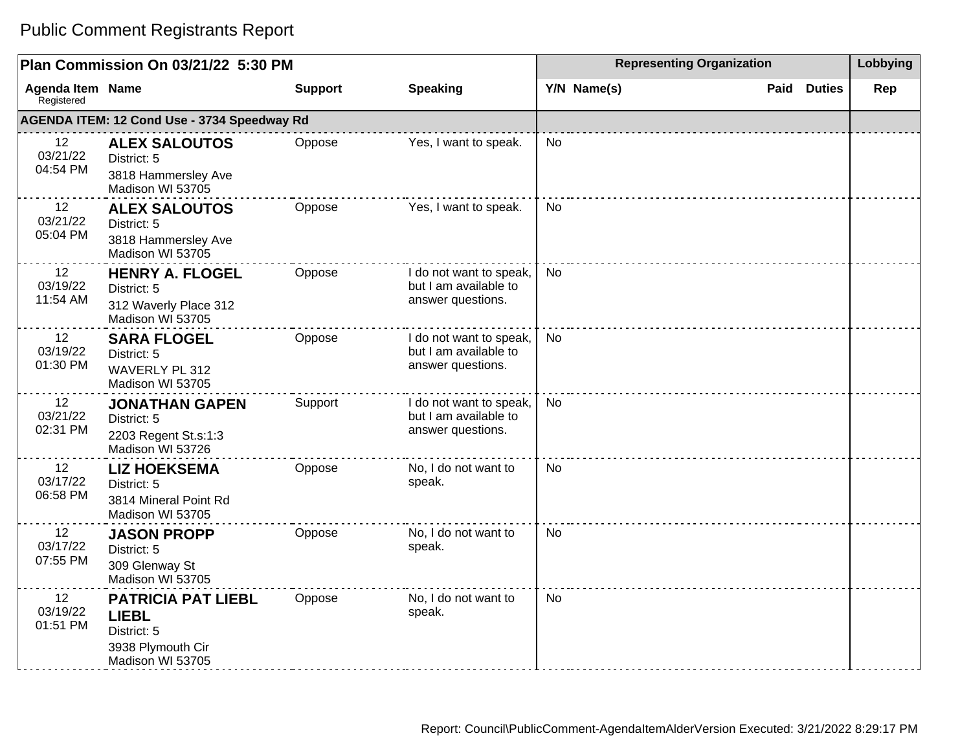|                                       | Plan Commission On 03/21/22 5:30 PM                                                               |                |                                                                       | <b>Representing Organization</b> | Lobbying              |     |
|---------------------------------------|---------------------------------------------------------------------------------------------------|----------------|-----------------------------------------------------------------------|----------------------------------|-----------------------|-----|
| <b>Agenda Item Name</b><br>Registered |                                                                                                   | <b>Support</b> | <b>Speaking</b>                                                       | Y/N Name(s)                      | Paid<br><b>Duties</b> | Rep |
|                                       | AGENDA ITEM: 12 Cond Use - 3734 Speedway Rd                                                       |                |                                                                       |                                  |                       |     |
| 12<br>03/21/22<br>04:54 PM            | <b>ALEX SALOUTOS</b><br>District: 5<br>3818 Hammersley Ave<br>Madison WI 53705                    | Oppose         | Yes, I want to speak.                                                 | <b>No</b>                        |                       |     |
| 12<br>03/21/22<br>05:04 PM            | <b>ALEX SALOUTOS</b><br>District: 5<br>3818 Hammersley Ave<br>Madison WI 53705                    | Oppose         | Yes, I want to speak.                                                 | <b>No</b>                        |                       |     |
| 12<br>03/19/22<br>11:54 AM            | <b>HENRY A. FLOGEL</b><br>District: 5<br>312 Waverly Place 312<br>Madison WI 53705                | Oppose         | I do not want to speak,<br>but I am available to<br>answer questions. | <b>No</b>                        |                       |     |
| 12<br>03/19/22<br>01:30 PM            | <b>SARA FLOGEL</b><br>District: 5<br><b>WAVERLY PL 312</b><br>Madison WI 53705                    | Oppose         | I do not want to speak,<br>but I am available to<br>answer questions. | <b>No</b>                        |                       |     |
| 12<br>03/21/22<br>02:31 PM            | <b>JONATHAN GAPEN</b><br>District: 5<br>2203 Regent St.s:1:3<br>Madison WI 53726                  | Support        | I do not want to speak,<br>but I am available to<br>answer questions. | <b>No</b>                        |                       |     |
| 12<br>03/17/22<br>06:58 PM            | <b>LIZ HOEKSEMA</b><br>District: 5<br>3814 Mineral Point Rd<br>Madison WI 53705                   | Oppose         | No, I do not want to<br>speak.                                        | <b>No</b>                        |                       |     |
| 12<br>03/17/22<br>07:55 PM            | <b>JASON PROPP</b><br>District: 5<br>309 Glenway St<br>Madison WI 53705                           | Oppose         | No, I do not want to<br>speak.                                        | <b>No</b>                        |                       |     |
| 12<br>03/19/22<br>01:51 PM            | <b>PATRICIA PAT LIEBL</b><br><b>LIEBL</b><br>District: 5<br>3938 Plymouth Cir<br>Madison WI 53705 | Oppose         | No, I do not want to<br>speak.                                        | <b>No</b>                        |                       |     |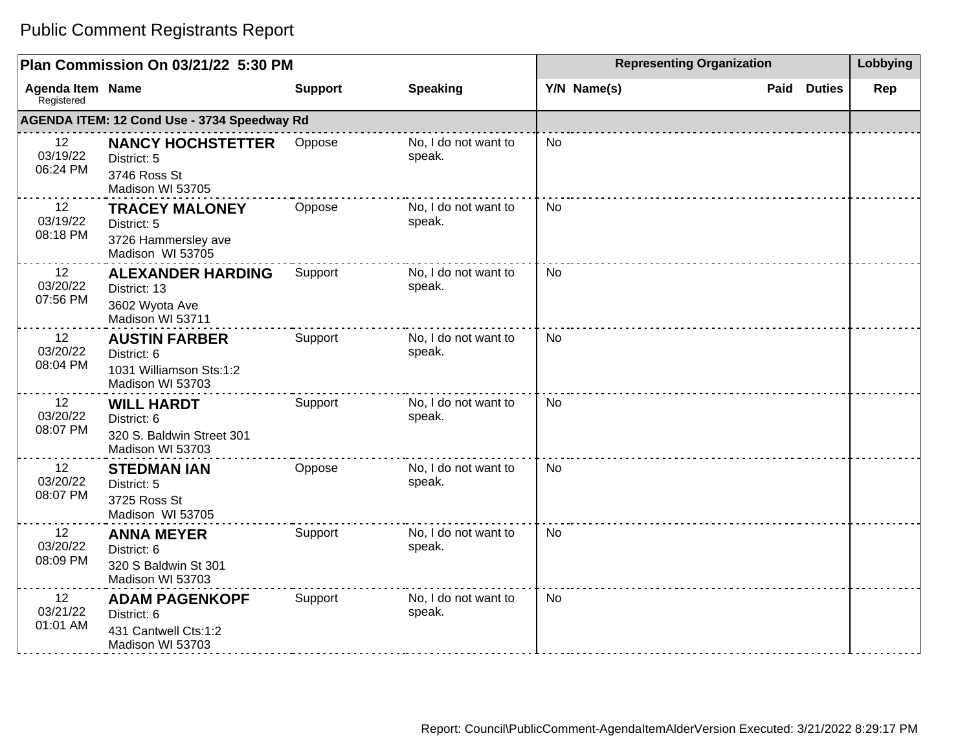|                                       | Plan Commission On 03/21/22 5:30 PM                                                |                |                                | <b>Representing Organization</b> | Lobbying              |     |
|---------------------------------------|------------------------------------------------------------------------------------|----------------|--------------------------------|----------------------------------|-----------------------|-----|
| <b>Agenda Item Name</b><br>Registered |                                                                                    | <b>Support</b> | <b>Speaking</b>                | Y/N Name(s)                      | <b>Duties</b><br>Paid | Rep |
|                                       | AGENDA ITEM: 12 Cond Use - 3734 Speedway Rd                                        |                |                                |                                  |                       |     |
| 12<br>03/19/22<br>06:24 PM            | <b>NANCY HOCHSTETTER</b><br>District: 5<br>3746 Ross St<br>Madison WI 53705        | Oppose         | No, I do not want to<br>speak. | <b>No</b>                        |                       |     |
| 12<br>03/19/22<br>08:18 PM            | <b>TRACEY MALONEY</b><br>District: 5<br>3726 Hammersley ave<br>Madison WI 53705    | Oppose         | No, I do not want to<br>speak. | <b>No</b>                        |                       |     |
| 12<br>03/20/22<br>07:56 PM            | <b>ALEXANDER HARDING</b><br>District: 13<br>3602 Wyota Ave<br>Madison WI 53711     | Support        | No, I do not want to<br>speak. | <b>No</b>                        |                       |     |
| 12<br>03/20/22<br>08:04 PM            | <b>AUSTIN FARBER</b><br>District: 6<br>1031 Williamson Sts:1:2<br>Madison WI 53703 | Support        | No, I do not want to<br>speak. | No                               |                       |     |
| 12<br>03/20/22<br>08:07 PM            | <b>WILL HARDT</b><br>District: 6<br>320 S. Baldwin Street 301<br>Madison WI 53703  | Support        | No, I do not want to<br>speak. | <b>No</b>                        |                       |     |
| 12<br>03/20/22<br>08:07 PM            | <b>STEDMAN IAN</b><br>District: 5<br>3725 Ross St<br>Madison WI 53705              | Oppose         | No, I do not want to<br>speak. | <b>No</b>                        |                       |     |
| 12<br>03/20/22<br>08:09 PM            | <b>ANNA MEYER</b><br>District: 6<br>320 S Baldwin St 301<br>Madison WI 53703       | Support        | No, I do not want to<br>speak. | <b>No</b>                        |                       |     |
| 12<br>03/21/22<br>01:01 AM            | <b>ADAM PAGENKOPF</b><br>District: 6<br>431 Cantwell Cts:1:2<br>Madison WI 53703   | Support        | No, I do not want to<br>speak. | <b>No</b>                        |                       |     |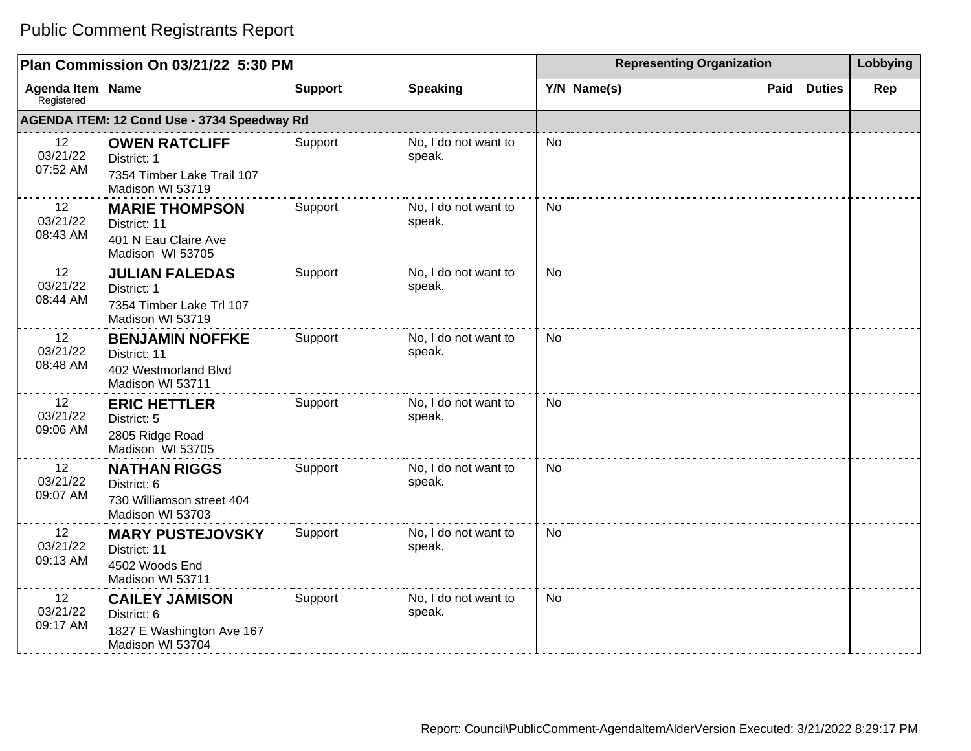|                                | Plan Commission On 03/21/22 5:30 PM                                                   |                |                                | <b>Representing Organization</b> |                       | Lobbying |
|--------------------------------|---------------------------------------------------------------------------------------|----------------|--------------------------------|----------------------------------|-----------------------|----------|
| Agenda Item Name<br>Registered |                                                                                       | <b>Support</b> | <b>Speaking</b>                | Y/N Name(s)                      | Paid<br><b>Duties</b> | Rep      |
|                                | AGENDA ITEM: 12 Cond Use - 3734 Speedway Rd                                           |                |                                |                                  |                       |          |
| 12<br>03/21/22<br>07:52 AM     | <b>OWEN RATCLIFF</b><br>District: 1<br>7354 Timber Lake Trail 107<br>Madison WI 53719 | Support        | No, I do not want to<br>speak. | <b>No</b>                        |                       |          |
| 12<br>03/21/22<br>08:43 AM     | <b>MARIE THOMPSON</b><br>District: 11<br>401 N Eau Claire Ave<br>Madison WI 53705     | Support        | No, I do not want to<br>speak. | No                               |                       |          |
| 12<br>03/21/22<br>08:44 AM     | <b>JULIAN FALEDAS</b><br>District: 1<br>7354 Timber Lake Trl 107<br>Madison WI 53719  | Support        | No, I do not want to<br>speak. | <b>No</b>                        |                       |          |
| 12<br>03/21/22<br>08:48 AM     | <b>BENJAMIN NOFFKE</b><br>District: 11<br>402 Westmorland Blvd<br>Madison WI 53711    | Support        | No, I do not want to<br>speak. | <b>No</b>                        |                       |          |
| 12<br>03/21/22<br>09:06 AM     | <b>ERIC HETTLER</b><br>District: 5<br>2805 Ridge Road<br>Madison WI 53705             | Support        | No, I do not want to<br>speak. | No                               |                       |          |
| 12<br>03/21/22<br>09:07 AM     | <b>NATHAN RIGGS</b><br>District: 6<br>730 Williamson street 404<br>Madison WI 53703   | Support        | No, I do not want to<br>speak. | <b>No</b>                        |                       |          |
| 12<br>03/21/22<br>09:13 AM     | <b>MARY PUSTEJOVSKY</b><br>District: 11<br>4502 Woods End<br>Madison WI 53711         | Support        | No, I do not want to<br>speak. | No                               |                       |          |
| 12<br>03/21/22<br>09:17 AM     | <b>CAILEY JAMISON</b><br>District: 6<br>1827 E Washington Ave 167<br>Madison WI 53704 | Support        | No, I do not want to<br>speak. | <b>No</b>                        |                       |          |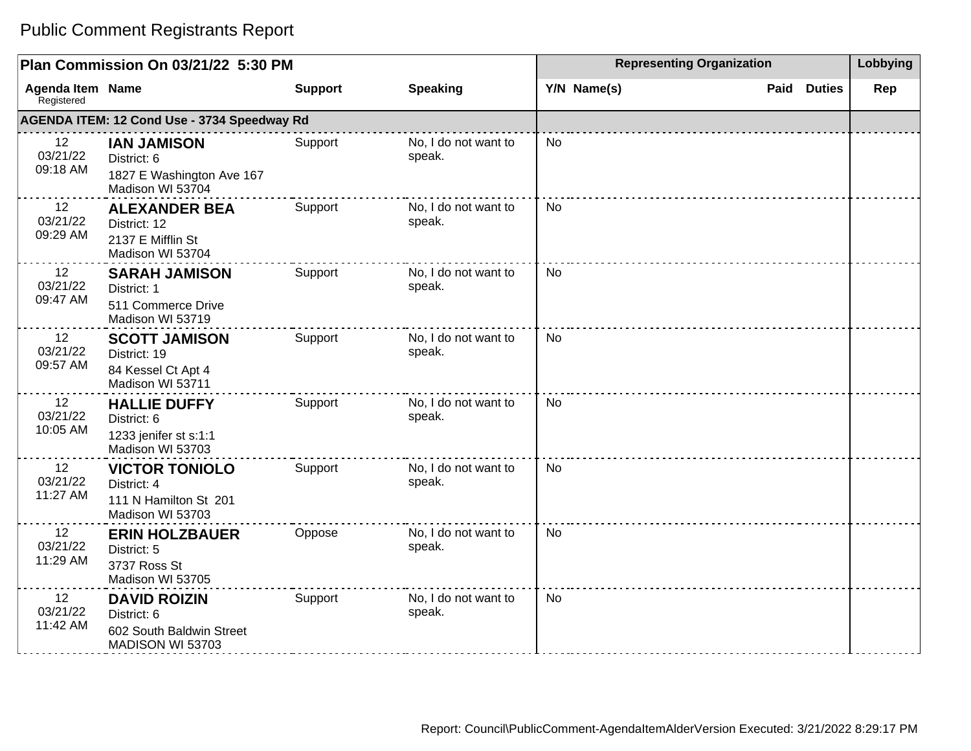|                                       | Plan Commission On 03/21/22 5:30 PM                                                |                |                                | <b>Representing Organization</b> | Lobbying              |     |
|---------------------------------------|------------------------------------------------------------------------------------|----------------|--------------------------------|----------------------------------|-----------------------|-----|
| <b>Agenda Item Name</b><br>Registered |                                                                                    | <b>Support</b> | <b>Speaking</b>                | Y/N Name(s)                      | <b>Duties</b><br>Paid | Rep |
|                                       | AGENDA ITEM: 12 Cond Use - 3734 Speedway Rd                                        |                |                                |                                  |                       |     |
| 12<br>03/21/22<br>09:18 AM            | <b>IAN JAMISON</b><br>District: 6<br>1827 E Washington Ave 167<br>Madison WI 53704 | Support        | No, I do not want to<br>speak. | No                               |                       |     |
| 12<br>03/21/22<br>09:29 AM            | <b>ALEXANDER BEA</b><br>District: 12<br>2137 E Mifflin St<br>Madison WI 53704      | Support        | No, I do not want to<br>speak. | No                               |                       |     |
| 12<br>03/21/22<br>09:47 AM            | <b>SARAH JAMISON</b><br>District: 1<br>511 Commerce Drive<br>Madison WI 53719      | Support        | No, I do not want to<br>speak. | No                               |                       |     |
| 12<br>03/21/22<br>09:57 AM            | <b>SCOTT JAMISON</b><br>District: 19<br>84 Kessel Ct Apt 4<br>Madison WI 53711     | Support        | No, I do not want to<br>speak. | <b>No</b>                        |                       |     |
| 12<br>03/21/22<br>10:05 AM            | <b>HALLIE DUFFY</b><br>District: 6<br>1233 jenifer st s:1:1<br>Madison WI 53703    | Support        | No, I do not want to<br>speak. | <b>No</b>                        |                       |     |
| 12<br>03/21/22<br>11:27 AM            | <b>VICTOR TONIOLO</b><br>District: 4<br>111 N Hamilton St 201<br>Madison WI 53703  | Support        | No, I do not want to<br>speak. | <b>No</b>                        |                       |     |
| 12<br>03/21/22<br>11:29 AM            | <b>ERIN HOLZBAUER</b><br>District: 5<br>3737 Ross St<br>Madison WI 53705           | Oppose         | No, I do not want to<br>speak. | <b>No</b>                        |                       |     |
| 12<br>03/21/22<br>11:42 AM            | <b>DAVID ROIZIN</b><br>District: 6<br>602 South Baldwin Street<br>MADISON WI 53703 | Support        | No, I do not want to<br>speak. | <b>No</b>                        |                       |     |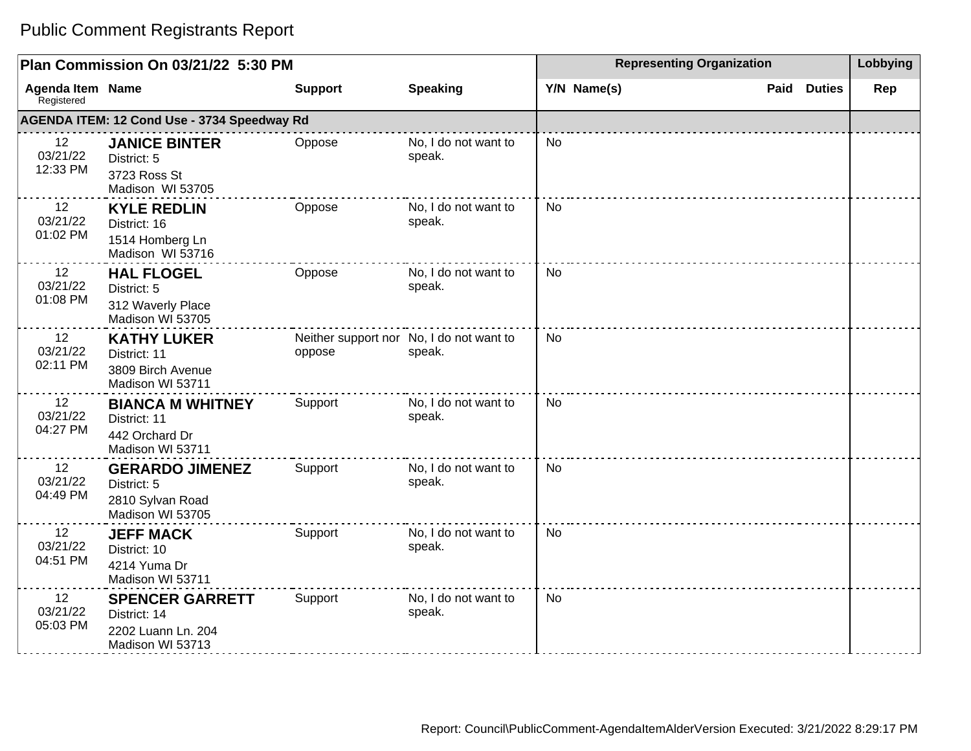|                                       | Plan Commission On 03/21/22 5:30 PM                                              |                |                                                    | <b>Representing Organization</b> |                       | Lobbying |
|---------------------------------------|----------------------------------------------------------------------------------|----------------|----------------------------------------------------|----------------------------------|-----------------------|----------|
| <b>Agenda Item Name</b><br>Registered |                                                                                  | <b>Support</b> | <b>Speaking</b>                                    | Y/N Name(s)                      | <b>Duties</b><br>Paid | Rep      |
|                                       | AGENDA ITEM: 12 Cond Use - 3734 Speedway Rd                                      |                |                                                    |                                  |                       |          |
| 12<br>03/21/22<br>12:33 PM            | <b>JANICE BINTER</b><br>District: 5<br>3723 Ross St<br>Madison WI 53705          | Oppose         | No, I do not want to<br>speak.                     | No                               |                       |          |
| 12<br>03/21/22<br>01:02 PM            | <b>KYLE REDLIN</b><br>District: 16<br>1514 Homberg Ln<br>Madison WI 53716        | Oppose         | No, I do not want to<br>speak.                     | <b>No</b>                        |                       |          |
| 12<br>03/21/22<br>01:08 PM            | <b>HAL FLOGEL</b><br>District: 5<br>312 Waverly Place<br>Madison WI 53705        | Oppose         | No, I do not want to<br>speak.                     | <b>No</b>                        |                       |          |
| 12<br>03/21/22<br>02:11 PM            | <b>KATHY LUKER</b><br>District: 11<br>3809 Birch Avenue<br>Madison WI 53711      | oppose         | Neither support nor No, I do not want to<br>speak. | <b>No</b>                        |                       |          |
| 12<br>03/21/22<br>04:27 PM            | <b>BIANCA M WHITNEY</b><br>District: 11<br>442 Orchard Dr<br>Madison WI 53711    | Support        | No, I do not want to<br>speak.                     | <b>No</b>                        |                       |          |
| 12<br>03/21/22<br>04:49 PM            | <b>GERARDO JIMENEZ</b><br>District: 5<br>2810 Sylvan Road<br>Madison WI 53705    | Support        | No, I do not want to<br>speak.                     | <b>No</b>                        |                       |          |
| 12<br>03/21/22<br>04:51 PM            | <b>JEFF MACK</b><br>District: 10<br>4214 Yuma Dr<br>Madison WI 53711             | Support        | No, I do not want to<br>speak.                     | No                               |                       |          |
| 12<br>03/21/22<br>05:03 PM            | <b>SPENCER GARRETT</b><br>District: 14<br>2202 Luann Ln. 204<br>Madison WI 53713 | Support        | No, I do not want to<br>speak.                     | <b>No</b>                        |                       |          |